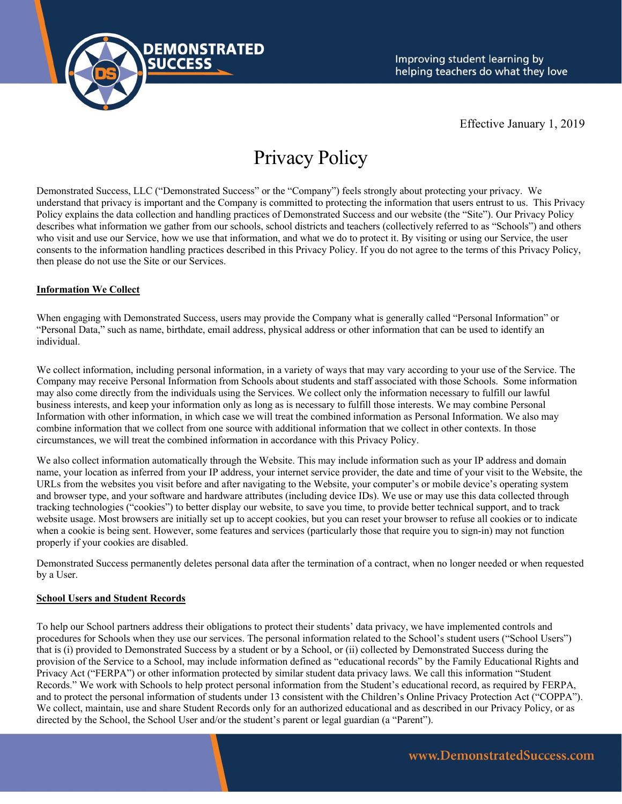

Effective January 1, 2019

# Privacy Policy

Demonstrated Success, LLC ("Demonstrated Success" or the "Company") feels strongly about protecting your privacy. We understand that privacy is important and the Company is committed to protecting the information that users entrust to us. This Privacy Policy explains the data collection and handling practices of Demonstrated Success and our website (the "Site"). Our Privacy Policy describes what information we gather from our schools, school districts and teachers (collectively referred to as "Schools") and others who visit and use our Service, how we use that information, and what we do to protect it. By visiting or using our Service, the user consents to the information handling practices described in this Privacy Policy. If you do not agree to the terms of this Privacy Policy, then please do not use the Site or our Services.

### **Information We Collect**

When engaging with Demonstrated Success, users may provide the Company what is generally called "Personal Information" or "Personal Data," such as name, birthdate, email address, physical address or other information that can be used to identify an individual.

We collect information, including personal information, in a variety of ways that may vary according to your use of the Service. The Company may receive Personal Information from Schools about students and staff associated with those Schools. Some information may also come directly from the individuals using the Services. We collect only the information necessary to fulfill our lawful business interests, and keep your information only as long as is necessary to fulfill those interests. We may combine Personal Information with other information, in which case we will treat the combined information as Personal Information. We also may combine information that we collect from one source with additional information that we collect in other contexts. In those circumstances, we will treat the combined information in accordance with this Privacy Policy.

We also collect information automatically through the Website. This may include information such as your IP address and domain name, your location as inferred from your IP address, your internet service provider, the date and time of your visit to the Website, the URLs from the websites you visit before and after navigating to the Website, your computer's or mobile device's operating system and browser type, and your software and hardware attributes (including device IDs). We use or may use this data collected through tracking technologies ("cookies") to better display our website, to save you time, to provide better technical support, and to track website usage. Most browsers are initially set up to accept cookies, but you can reset your browser to refuse all cookies or to indicate when a cookie is being sent. However, some features and services (particularly those that require you to sign-in) may not function properly if your cookies are disabled.

Demonstrated Success permanently deletes personal data after the termination of a contract, when no longer needed or when requested by a User.

#### **School Users and Student Records**

To help our School partners address their obligations to protect their students' data privacy, we have implemented controls and procedures for Schools when they use our services. The personal information related to the School's student users ("School Users") that is (i) provided to Demonstrated Success by a student or by a School, or (ii) collected by Demonstrated Success during the provision of the Service to a School, may include information defined as "educational records" by the Family Educational Rights and Privacy Act ("FERPA") or other information protected by similar student data privacy laws. We call this information "Student Records." We work with Schools to help protect personal information from the Student's educational record, as required by FERPA, and to protect the personal information of students under 13 consistent with the Children's Online Privacy Protection Act ("COPPA"). We collect, maintain, use and share Student Records only for an authorized educational and as described in our Privacy Policy, or as directed by the School, the School User and/or the student's parent or legal guardian (a "Parent").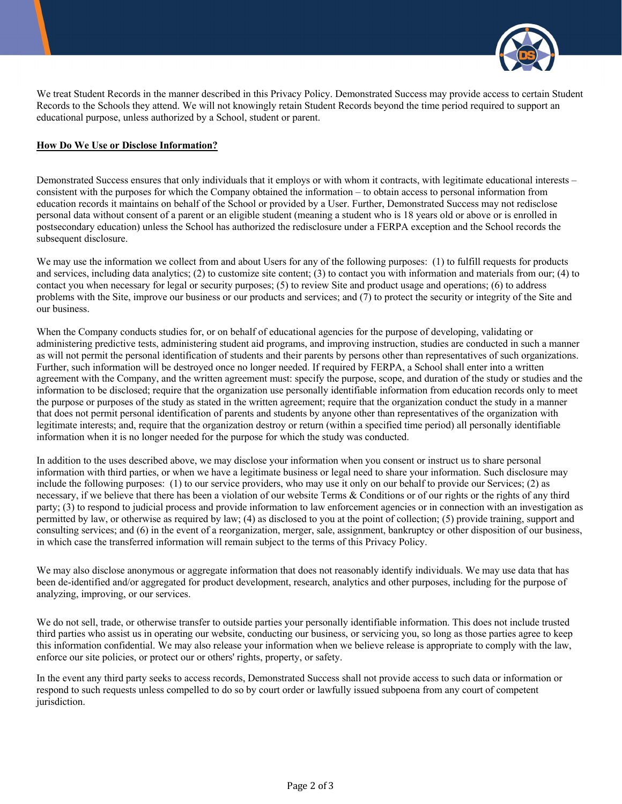

We treat Student Records in the manner described in this Privacy Policy. Demonstrated Success may provide access to certain Student Records to the Schools they attend. We will not knowingly retain Student Records beyond the time period required to support an educational purpose, unless authorized by a School, student or parent.

#### **How Do We Use or Disclose Information?**

Demonstrated Success ensures that only individuals that it employs or with whom it contracts, with legitimate educational interests – consistent with the purposes for which the Company obtained the information – to obtain access to personal information from education records it maintains on behalf of the School or provided by a User. Further, Demonstrated Success may not redisclose personal data without consent of a parent or an eligible student (meaning a student who is 18 years old or above or is enrolled in postsecondary education) unless the School has authorized the redisclosure under a FERPA exception and the School records the subsequent disclosure.

We may use the information we collect from and about Users for any of the following purposes: (1) to fulfill requests for products and services, including data analytics; (2) to customize site content; (3) to contact you with information and materials from our; (4) to contact you when necessary for legal or security purposes; (5) to review Site and product usage and operations; (6) to address problems with the Site, improve our business or our products and services; and (7) to protect the security or integrity of the Site and our business.

When the Company conducts studies for, or on behalf of educational agencies for the purpose of developing, validating or administering predictive tests, administering student aid programs, and improving instruction, studies are conducted in such a manner as will not permit the personal identification of students and their parents by persons other than representatives of such organizations. Further, such information will be destroyed once no longer needed. If required by FERPA, a School shall enter into a written agreement with the Company, and the written agreement must: specify the purpose, scope, and duration of the study or studies and the information to be disclosed; require that the organization use personally identifiable information from education records only to meet the purpose or purposes of the study as stated in the written agreement; require that the organization conduct the study in a manner that does not permit personal identification of parents and students by anyone other than representatives of the organization with legitimate interests; and, require that the organization destroy or return (within a specified time period) all personally identifiable information when it is no longer needed for the purpose for which the study was conducted.

In addition to the uses described above, we may disclose your information when you consent or instruct us to share personal information with third parties, or when we have a legitimate business or legal need to share your information. Such disclosure may include the following purposes: (1) to our service providers, who may use it only on our behalf to provide our Services; (2) as necessary, if we believe that there has been a violation of our website Terms & Conditions or of our rights or the rights of any third party; (3) to respond to judicial process and provide information to law enforcement agencies or in connection with an investigation as permitted by law, or otherwise as required by law; (4) as disclosed to you at the point of collection; (5) provide training, support and consulting services; and (6) in the event of a reorganization, merger, sale, assignment, bankruptcy or other disposition of our business, in which case the transferred information will remain subject to the terms of this Privacy Policy.

We may also disclose anonymous or aggregate information that does not reasonably identify individuals. We may use data that has been de-identified and/or aggregated for product development, research, analytics and other purposes, including for the purpose of analyzing, improving, or our services.

We do not sell, trade, or otherwise transfer to outside parties your personally identifiable information. This does not include trusted third parties who assist us in operating our website, conducting our business, or servicing you, so long as those parties agree to keep this information confidential. We may also release your information when we believe release is appropriate to comply with the law, enforce our site policies, or protect our or others' rights, property, or safety.

In the event any third party seeks to access records, Demonstrated Success shall not provide access to such data or information or respond to such requests unless compelled to do so by court order or lawfully issued subpoena from any court of competent jurisdiction.